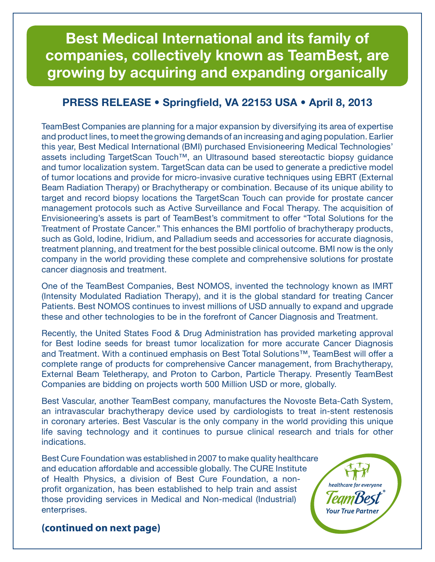# **Best Medical International and its family of companies, collectively known as TeamBest, are growing by acquiring and expanding organically**

### **PRESS RELEASE • Springfield, VA 22153 USA • April 8, 2013**

TeamBest Companies are planning for a major expansion by diversifying its area of expertise and product lines, to meet the growing demands of an increasing and aging population. Earlier this year, Best Medical International (BMI) purchased Envisioneering Medical Technologies' assets including TargetScan Touch™, an Ultrasound based stereotactic biopsy guidance and tumor localization system. TargetScan data can be used to generate a predictive model of tumor locations and provide for micro-invasive curative techniques using EBRT (External Beam Radiation Therapy) or Brachytherapy or combination. Because of its unique ability to target and record biopsy locations the TargetScan Touch can provide for prostate cancer management protocols such as Active Surveillance and Focal Therapy. The acquisition of Envisioneering's assets is part of TeamBest's commitment to offer "Total Solutions for the Treatment of Prostate Cancer." This enhances the BMI portfolio of brachytherapy products, such as Gold, Iodine, Iridium, and Palladium seeds and accessories for accurate diagnosis, treatment planning, and treatment for the best possible clinical outcome. BMI now is the only company in the world providing these complete and comprehensive solutions for prostate cancer diagnosis and treatment.

One of the TeamBest Companies, Best NOMOS, invented the technology known as IMRT (Intensity Modulated Radiation Therapy), and it is the global standard for treating Cancer Patients. Best NOMOS continues to invest millions of USD annually to expand and upgrade these and other technologies to be in the forefront of Cancer Diagnosis and Treatment.

Recently, the United States Food & Drug Administration has provided marketing approval for Best Iodine seeds for breast tumor localization for more accurate Cancer Diagnosis and Treatment. With a continued emphasis on Best Total Solutions™, TeamBest will offer a complete range of products for comprehensive Cancer management, from Brachytherapy, External Beam Teletherapy, and Proton to Carbon, Particle Therapy. Presently TeamBest Companies are bidding on projects worth 500 Million USD or more, globally.

Best Vascular, another TeamBest company, manufactures the Novoste Beta-Cath System, an intravascular brachytherapy device used by cardiologists to treat in-stent restenosis in coronary arteries. Best Vascular is the only company in the world providing this unique life saving technology and it continues to pursue clinical research and trials for other indications.

Best Cure Foundation was established in 2007 to make quality healthcare and education affordable and accessible globally. The CURE Institute of Health Physics, a division of Best Cure Foundation, a nonprofit organization, has been established to help train and assist those providing services in Medical and Non-medical (Industrial) enterprises.



### **(continued on next page)**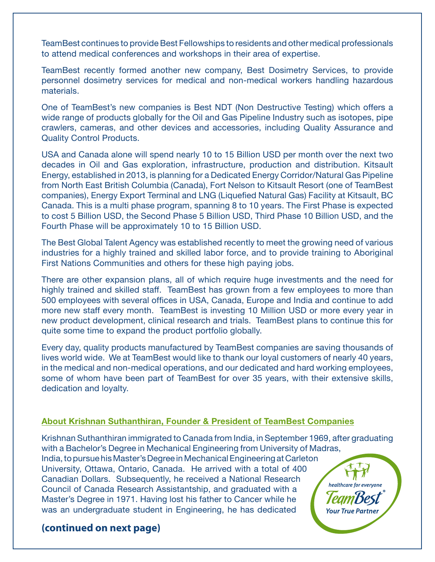TeamBest continues to provide Best Fellowships to residents and other medical professionals to attend medical conferences and workshops in their area of expertise.

TeamBest recently formed another new company, Best Dosimetry Services, to provide personnel dosimetry services for medical and non-medical workers handling hazardous materials.

One of TeamBest's new companies is Best NDT (Non Destructive Testing) which offers a wide range of products globally for the Oil and Gas Pipeline Industry such as isotopes, pipe crawlers, cameras, and other devices and accessories, including Quality Assurance and Quality Control Products.

USA and Canada alone will spend nearly 10 to 15 Billion USD per month over the next two decades in Oil and Gas exploration, infrastructure, production and distribution. Kitsault Energy, established in 2013, is planning for a Dedicated Energy Corridor/Natural Gas Pipeline from North East British Columbia (Canada), Fort Nelson to Kitsault Resort (one of TeamBest companies), Energy Export Terminal and LNG (Liquefied Natural Gas) Facility at Kitsault, BC Canada. This is a multi phase program, spanning 8 to 10 years. The First Phase is expected to cost 5 Billion USD, the Second Phase 5 Billion USD, Third Phase 10 Billion USD, and the Fourth Phase will be approximately 10 to 15 Billion USD.

The Best Global Talent Agency was established recently to meet the growing need of various industries for a highly trained and skilled labor force, and to provide training to Aboriginal First Nations Communities and others for these high paying jobs.

There are other expansion plans, all of which require huge investments and the need for highly trained and skilled staff. TeamBest has grown from a few employees to more than 500 employees with several offices in USA, Canada, Europe and India and continue to add more new staff every month. TeamBest is investing 10 Million USD or more every year in new product development, clinical research and trials. TeamBest plans to continue this for quite some time to expand the product portfolio globally.

Every day, quality products manufactured by TeamBest companies are saving thousands of lives world wide. We at TeamBest would like to thank our loyal customers of nearly 40 years, in the medical and non-medical operations, and our dedicated and hard working employees, some of whom have been part of TeamBest for over 35 years, with their extensive skills, dedication and loyalty.

#### **About Krishnan Suthanthiran, Founder & President of TeamBest Companies**

Krishnan Suthanthiran immigrated to Canada from India, in September 1969, after graduating with a Bachelor's Degree in Mechanical Engineering from University of Madras, India, to pursue his Master's Degree in Mechanical Engineering at Carleton University, Ottawa, Ontario, Canada. He arrived with a total of 400 Canadian Dollars. Subsequently, he received a National Research healthcare for everyone Council of Canada Research Assistantship, and graduated with a Master's Degree in 1971. Having lost his father to Cancer while he was an undergraduate student in Engineering, he has dedicated **Your True Partne.** 

### **(continued on next page)**